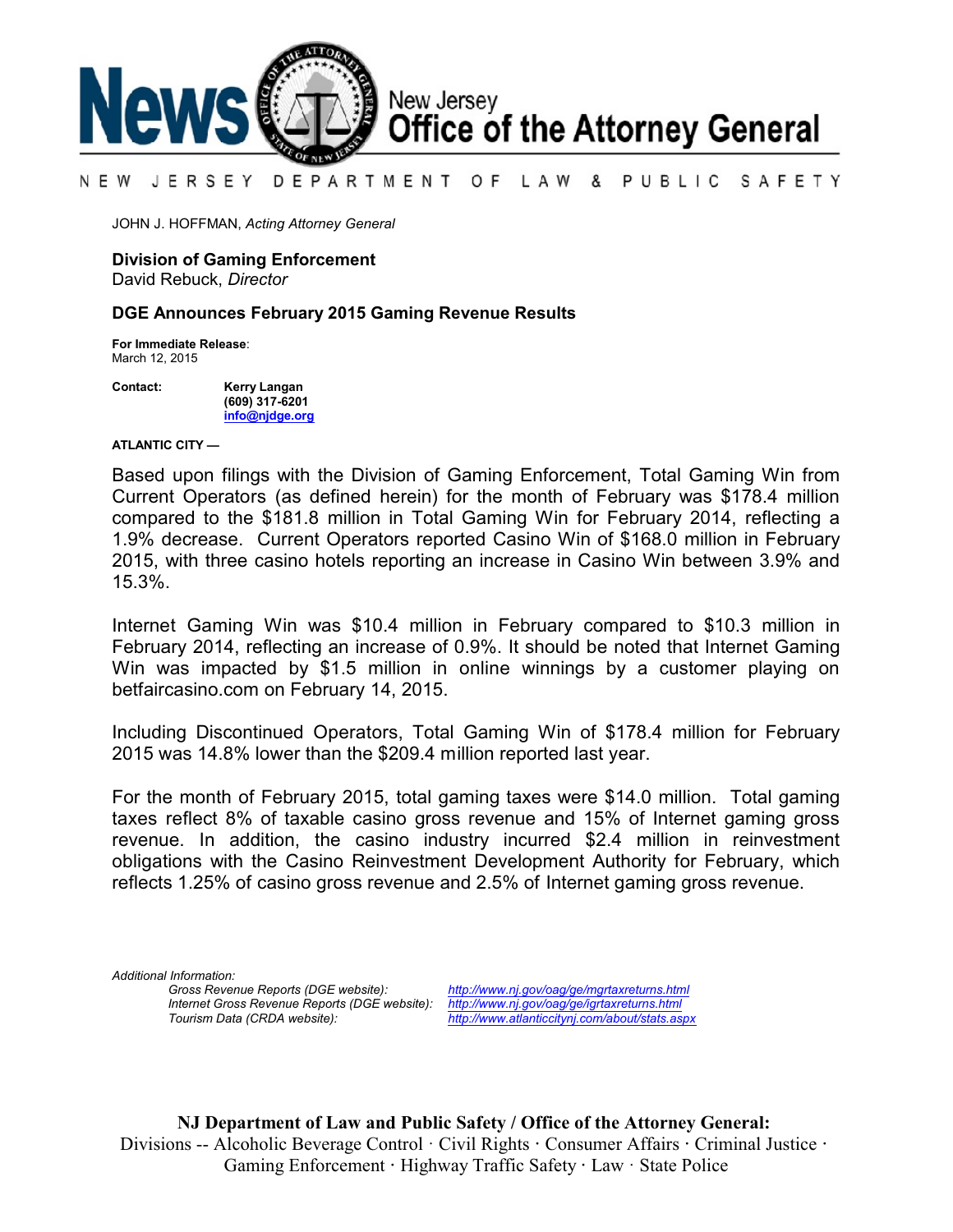

#### N E W JERSEY DEPARTMENT OF LAW & PUBLIC SAFETY

JOHN J. HOFFMAN, *Acting Attorney General*

### **Division of Gaming Enforcement**

David Rebuck, *Director*

### **DGE Announces February 2015 Gaming Revenue Results**

**For Immediate Release**: March 12, 2015

**Contact: Kerry Langan (609) 317-6201 [info@njdge.org](file:///|//info@njdge.org)**

**ATLANTIC CITY —**

 Current Operators (as defined herein) for the month of February was \$178.4 million Based upon filings with the Division of Gaming Enforcement, Total Gaming Win from compared to the \$181.8 million in Total Gaming Win for February 2014, reflecting a 1.9% decrease. Current Operators reported Casino Win of \$168.0 million in February 2015, with three casino hotels reporting an increase in Casino Win between 3.9% and 15.3%.

Internet Gaming Win was \$10.4 million in February compared to \$10.3 million in February 2014, reflecting an increase of 0.9%. It should be noted that Internet Gaming Win was impacted by \$1.5 million in online winnings by a customer playing on betfaircasino.com on February 14, 2015.

Including Discontinued Operators, Total Gaming Win of \$178.4 million for February 2015 was 14.8% lower than the \$209.4 million reported last year.

For the month of February 2015, total gaming taxes were \$14.0 million. Total gaming taxes reflect 8% of taxable casino gross revenue and 15% of Internet gaming gross revenue. In addition, the casino industry incurred \$2.4 million in reinvestment obligations with the Casino Reinvestment Development Authority for February, which reflects 1.25% of casino gross revenue and 2.5% of Internet gaming gross revenue.

*Additional Information: Internet Gross Revenue Reports (DGE website): <http://www.nj.gov/oag/ge/igrtaxreturns.html>*

*Gross Revenue Reports (DGE website): <http://www.nj.gov/oag/ge/mgrtaxreturns.html> Tourism Data (CRDA website): <http://www.atlanticcitynj.com/about/stats.aspx>*

**NJ Department of Law and Public Safety / Office of the Attorney General:** Divisions -- Alcoholic Beverage Control · Civil Rights **·** Consumer Affairs **·** Criminal Justice **·**  Gaming Enforcement **·** Highway Traffic Safety **·** Law · State Police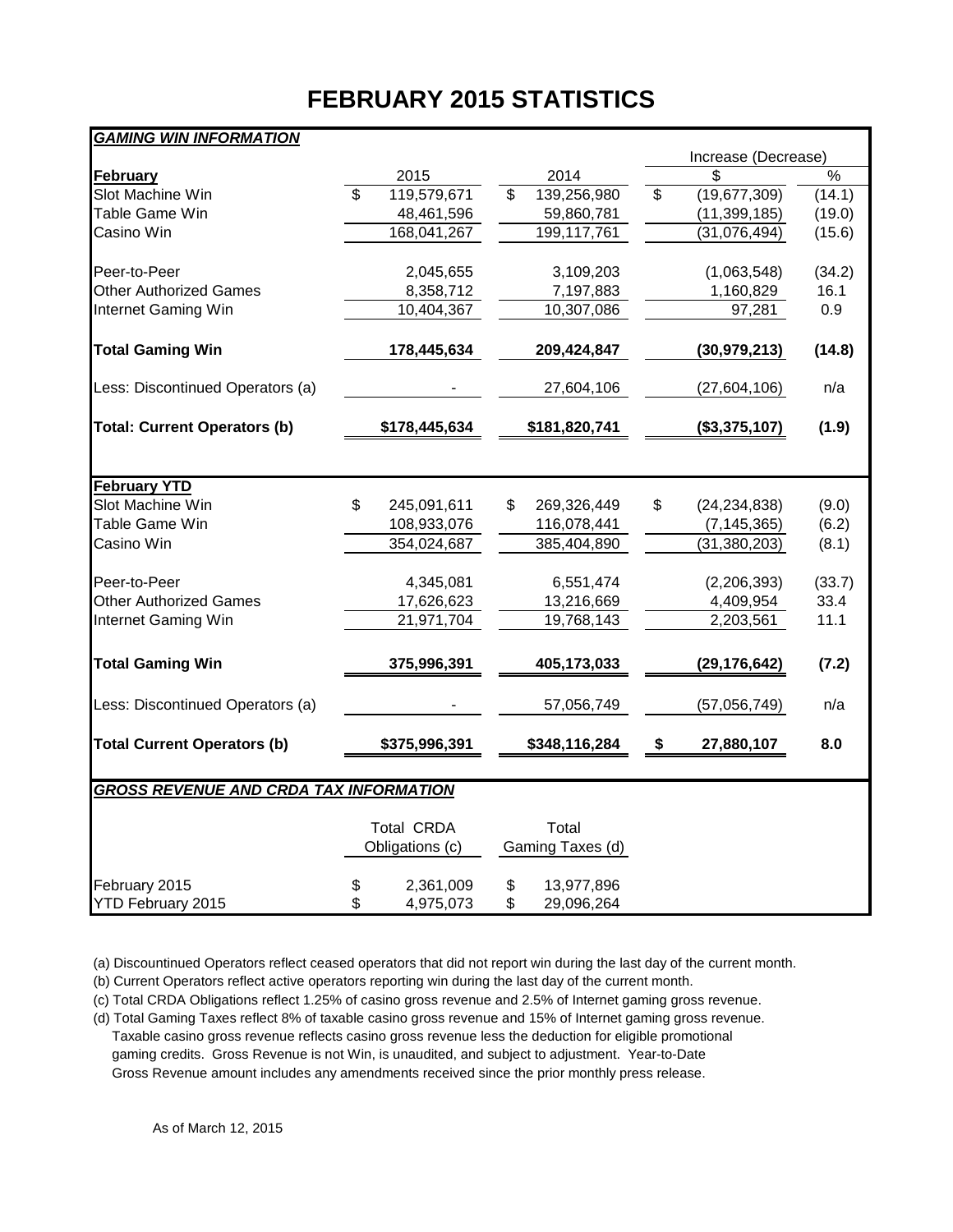# **FEBRUARY 2015 STATISTICS**

## *GAMING WIN INFORMATION*

|                                               |                          |               |                    |                  |                | Increase (Decrease) |        |  |  |
|-----------------------------------------------|--------------------------|---------------|--------------------|------------------|----------------|---------------------|--------|--|--|
| <b>February</b>                               |                          | 2015          |                    | 2014             |                |                     | %      |  |  |
| Slot Machine Win                              | $\overline{\mathcal{S}}$ | 119,579,671   | $\mathbf{\hat{z}}$ | 139,256,980      | $\mathfrak{S}$ | (19,677,309)        | (14.1) |  |  |
| Table Game Win                                |                          | 48,461,596    |                    | 59,860,781       |                | (11, 399, 185)      | (19.0) |  |  |
| Casino Win                                    |                          | 168,041,267   |                    | 199,117,761      |                | (31,076,494)        | (15.6) |  |  |
|                                               |                          |               |                    |                  |                |                     |        |  |  |
| Peer-to-Peer                                  |                          | 2,045,655     |                    | 3,109,203        |                | (1,063,548)         | (34.2) |  |  |
| <b>Other Authorized Games</b>                 |                          | 8,358,712     |                    | 7,197,883        |                | 1,160,829           | 16.1   |  |  |
| Internet Gaming Win                           |                          | 10,404,367    |                    | 10,307,086       |                | 97,281              | 0.9    |  |  |
|                                               |                          |               |                    |                  |                |                     |        |  |  |
| <b>Total Gaming Win</b>                       |                          | 178,445,634   |                    | 209,424,847      |                | (30, 979, 213)      | (14.8) |  |  |
| Less: Discontinued Operators (a)              |                          |               |                    | 27,604,106       |                | (27,604,106)        | n/a    |  |  |
| <b>Total: Current Operators (b)</b>           |                          | \$178,445,634 |                    | \$181,820,741    |                | (\$3,375,107)       | (1.9)  |  |  |
|                                               |                          |               |                    |                  |                |                     |        |  |  |
| <b>February YTD</b>                           |                          |               |                    |                  |                |                     |        |  |  |
| Slot Machine Win                              | \$                       | 245,091,611   | \$                 | 269,326,449      | \$             | (24, 234, 838)      | (9.0)  |  |  |
| Table Game Win                                |                          | 108,933,076   |                    | 116,078,441      |                | (7, 145, 365)       | (6.2)  |  |  |
| Casino Win                                    |                          | 354,024,687   |                    | 385,404,890      |                | (31, 380, 203)      | (8.1)  |  |  |
|                                               |                          |               |                    |                  |                |                     |        |  |  |
| Peer-to-Peer                                  |                          | 4,345,081     |                    | 6,551,474        |                | (2,206,393)         | (33.7) |  |  |
| <b>Other Authorized Games</b>                 |                          | 17,626,623    |                    | 13,216,669       |                | 4,409,954           | 33.4   |  |  |
| Internet Gaming Win                           |                          | 21,971,704    |                    | 19,768,143       |                | 2,203,561           | 11.1   |  |  |
| <b>Total Gaming Win</b>                       |                          | 375,996,391   |                    | 405,173,033      |                | (29, 176, 642)      | (7.2)  |  |  |
|                                               |                          |               |                    |                  |                |                     |        |  |  |
| Less: Discontinued Operators (a)              |                          |               |                    | 57,056,749       |                | (57,056,749)        | n/a    |  |  |
| <b>Total Current Operators (b)</b>            |                          | \$375,996,391 |                    | \$348,116,284    | \$             | 27,880,107          | 8.0    |  |  |
|                                               |                          |               |                    |                  |                |                     |        |  |  |
| <b>GROSS REVENUE AND CRDA TAX INFORMATION</b> |                          |               |                    |                  |                |                     |        |  |  |
|                                               |                          |               |                    |                  |                |                     |        |  |  |
|                                               | <b>Total CRDA</b>        |               |                    | Total            |                |                     |        |  |  |
|                                               | Obligations (c)          |               |                    | Gaming Taxes (d) |                |                     |        |  |  |
| February 2015                                 | \$                       | 2,361,009     | \$                 | 13,977,896       |                |                     |        |  |  |
| <b>YTD February 2015</b>                      | \$                       | 4,975,073     | \$                 | 29,096,264       |                |                     |        |  |  |
|                                               |                          |               |                    |                  |                |                     |        |  |  |

(a) Discountinued Operators reflect ceased operators that did not report win during the last day of the current month.

(b) Current Operators reflect active operators reporting win during the last day of the current month.

(c) Total CRDA Obligations reflect 1.25% of casino gross revenue and 2.5% of Internet gaming gross revenue.

(d) Total Gaming Taxes reflect 8% of taxable casino gross revenue and 15% of Internet gaming gross revenue. Taxable casino gross revenue reflects casino gross revenue less the deduction for eligible promotional gaming credits. Gross Revenue is not Win, is unaudited, and subject to adjustment. Year-to-Date Gross Revenue amount includes any amendments received since the prior monthly press release.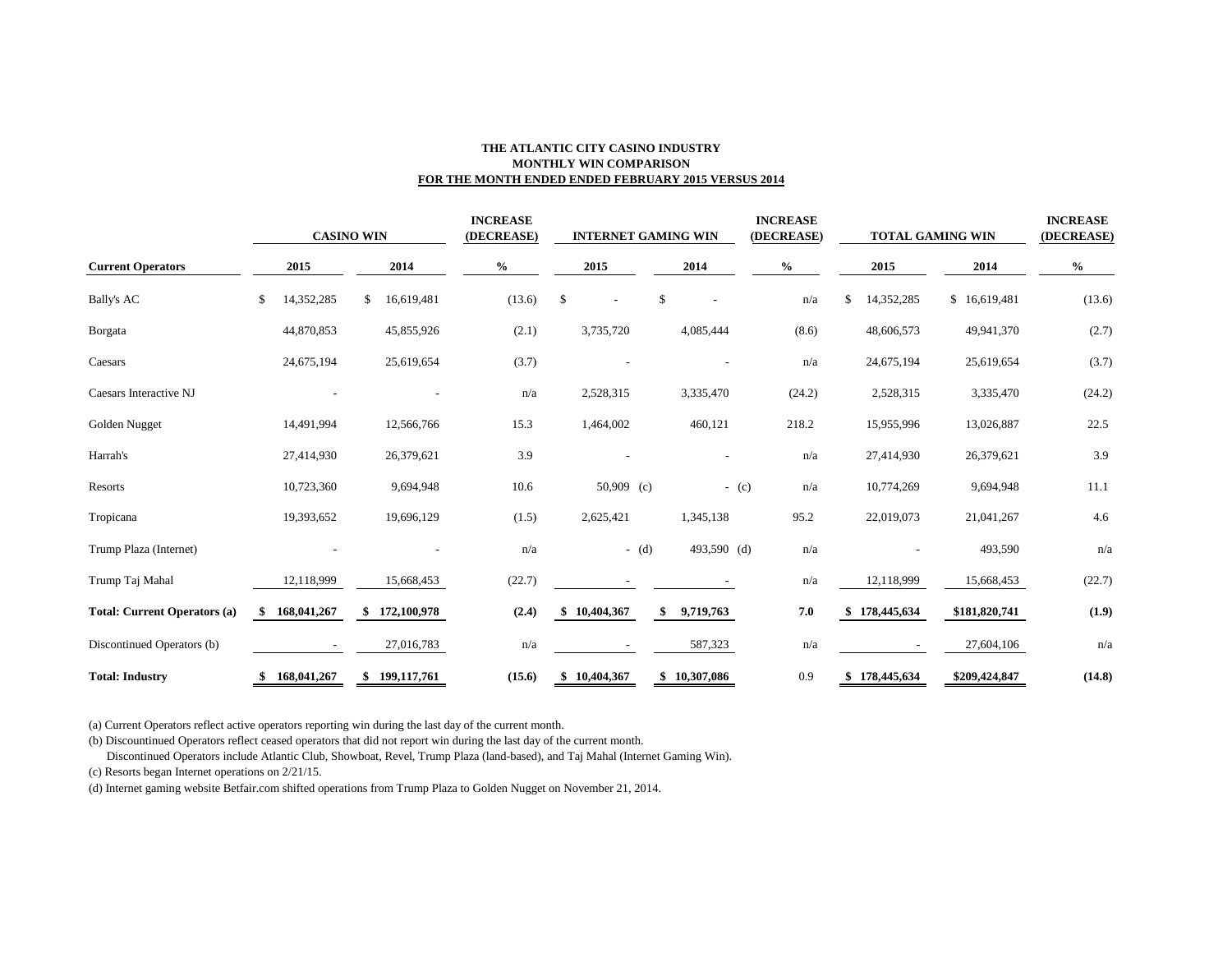### **THE ATLANTIC CITY CASINO INDUSTRY MONTHLY WIN COMPARISON FOR THE MONTH ENDED ENDED FEBRUARY 2015 VERSUS 2014**

|                                     | <b>CASINO WIN</b> |                  | <b>INCREASE</b><br>(DECREASE) |                      | <b>INTERNET GAMING WIN</b> | <b>INCREASE</b><br>(DECREASE) | <b>TOTAL GAMING WIN</b> |               | <b>INCREASE</b><br>(DECREASE) |
|-------------------------------------|-------------------|------------------|-------------------------------|----------------------|----------------------------|-------------------------------|-------------------------|---------------|-------------------------------|
| <b>Current Operators</b>            | 2015              | 2014             | $\%$                          | 2015                 | 2014                       | $\frac{0}{0}$                 | 2015                    | 2014          | $\frac{0}{0}$                 |
| <b>Bally's AC</b>                   | \$<br>14,352,285  | \$<br>16,619,481 | (13.6)                        | \$<br>$\overline{a}$ | \$                         | n/a                           | \$<br>14,352,285        | \$16,619,481  | (13.6)                        |
| <b>B</b> orgata                     | 44,870,853        | 45,855,926       | (2.1)                         | 3,735,720            | 4,085,444                  | (8.6)                         | 48,606,573              | 49,941,370    | (2.7)                         |
| Caesars                             | 24,675,194        | 25,619,654       | (3.7)                         |                      | $\overline{\phantom{a}}$   | n/a                           | 24,675,194              | 25,619,654    | (3.7)                         |
| Caesars Interactive NJ              |                   |                  | n/a                           | 2,528,315            | 3,335,470                  | (24.2)                        | 2,528,315               | 3,335,470     | (24.2)                        |
| Golden Nugget                       | 14,491,994        | 12,566,766       | 15.3                          | 1,464,002            | 460,121                    | 218.2                         | 15,955,996              | 13,026,887    | 22.5                          |
| Harrah's                            | 27,414,930        | 26,379,621       | 3.9                           |                      |                            | n/a                           | 27,414,930              | 26,379,621    | 3.9                           |
| Resorts                             | 10,723,360        | 9,694,948        | 10.6                          | 50,909 (c)           |                            | $-(c)$<br>n/a                 | 10,774,269              | 9,694,948     | 11.1                          |
| Tropicana                           | 19,393,652        | 19,696,129       | (1.5)                         | 2,625,421            | 1,345,138                  | 95.2                          | 22,019,073              | 21,041,267    | 4.6                           |
| Trump Plaza (Internet)              |                   |                  | n/a                           |                      | 493,590 (d)<br>$-$ (d)     | n/a                           |                         | 493,590       | n/a                           |
| Trump Taj Mahal                     | 12,118,999        | 15,668,453       | (22.7)                        |                      |                            | n/a                           | 12,118,999              | 15,668,453    | (22.7)                        |
| <b>Total: Current Operators (a)</b> | 168,041,267       | \$172,100,978    | (2.4)                         | 10,404,367           | 9,719,763                  | 7.0                           | \$178,445,634           | \$181,820,741 | (1.9)                         |
| Discontinued Operators (b)          |                   | 27,016,783       | n/a                           |                      | 587,323                    | n/a                           |                         | 27,604,106    | n/a                           |
| <b>Total: Industry</b>              | 168,041,267<br>S. | \$199,117,761    | (15.6)                        | \$10,404,367         | \$10,307,086               | 0.9                           | \$178,445,634           | \$209,424,847 | (14.8)                        |

(a) Current Operators reflect active operators reporting win during the last day of the current month.

(b) Discountinued Operators reflect ceased operators that did not report win during the last day of the current month.

Discontinued Operators include Atlantic Club, Showboat, Revel, Trump Plaza (land-based), and Taj Mahal (Internet Gaming Win).

(c) Resorts began Internet operations on 2/21/15.

(d) Internet gaming website Betfair.com shifted operations from Trump Plaza to Golden Nugget on November 21, 2014.